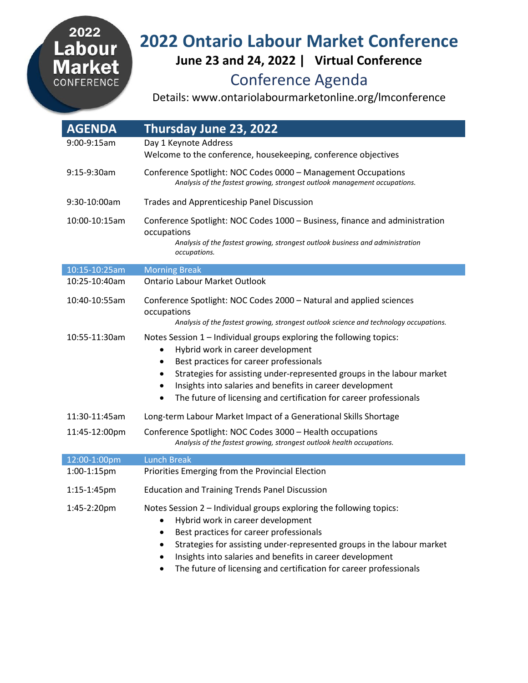## 2022 Labour<br>Market CONFERENCE

## **2022 Ontario Labour Market Conference June 23 and 24, 2022 | Virtual Conference** Conference Agenda

Details: www.ontariolabourmarketonline.org/lmconference

| <b>AGENDA</b> | Thursday June 23, 2022                                                                                                                                                                                                                                                                                                                                                                       |
|---------------|----------------------------------------------------------------------------------------------------------------------------------------------------------------------------------------------------------------------------------------------------------------------------------------------------------------------------------------------------------------------------------------------|
| 9:00-9:15am   | Day 1 Keynote Address                                                                                                                                                                                                                                                                                                                                                                        |
|               | Welcome to the conference, housekeeping, conference objectives                                                                                                                                                                                                                                                                                                                               |
| 9:15-9:30am   | Conference Spotlight: NOC Codes 0000 - Management Occupations<br>Analysis of the fastest growing, strongest outlook management occupations.                                                                                                                                                                                                                                                  |
| 9:30-10:00am  | <b>Trades and Apprenticeship Panel Discussion</b>                                                                                                                                                                                                                                                                                                                                            |
| 10:00-10:15am | Conference Spotlight: NOC Codes 1000 - Business, finance and administration<br>occupations<br>Analysis of the fastest growing, strongest outlook business and administration<br>occupations.                                                                                                                                                                                                 |
| 10:15-10:25am | <b>Morning Break</b>                                                                                                                                                                                                                                                                                                                                                                         |
| 10:25-10:40am | <b>Ontario Labour Market Outlook</b>                                                                                                                                                                                                                                                                                                                                                         |
| 10:40-10:55am | Conference Spotlight: NOC Codes 2000 - Natural and applied sciences<br>occupations<br>Analysis of the fastest growing, strongest outlook science and technology occupations.                                                                                                                                                                                                                 |
| 10:55-11:30am | Notes Session 1 - Individual groups exploring the following topics:<br>Hybrid work in career development<br>Best practices for career professionals<br>٠<br>Strategies for assisting under-represented groups in the labour market<br>٠<br>Insights into salaries and benefits in career development<br>٠<br>The future of licensing and certification for career professionals<br>$\bullet$ |
| 11:30-11:45am | Long-term Labour Market Impact of a Generational Skills Shortage                                                                                                                                                                                                                                                                                                                             |
| 11:45-12:00pm | Conference Spotlight: NOC Codes 3000 - Health occupations<br>Analysis of the fastest growing, strongest outlook health occupations.                                                                                                                                                                                                                                                          |
| 12:00-1:00pm  | <b>Lunch Break</b>                                                                                                                                                                                                                                                                                                                                                                           |
| 1:00-1:15pm   | Priorities Emerging from the Provincial Election                                                                                                                                                                                                                                                                                                                                             |
| 1:15-1:45pm   | <b>Education and Training Trends Panel Discussion</b>                                                                                                                                                                                                                                                                                                                                        |
| 1:45-2:20pm   | Notes Session 2 - Individual groups exploring the following topics:<br>Hybrid work in career development<br>Best practices for career professionals<br>٠<br>Strategies for assisting under-represented groups in the labour market<br>٠<br>Insights into salaries and benefits in career development<br>The future of licensing and certification for career professionals                   |